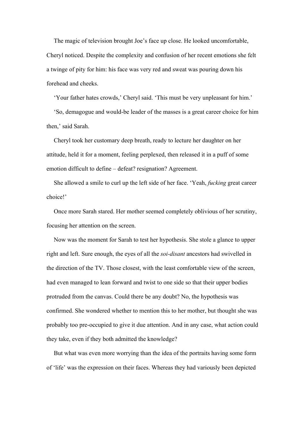The magic of television brought Joe's face up close. He looked uncomfortable, Cheryl noticed. Despite the complexity and confusion of her recent emotions she felt a twinge of pity for him: his face was very red and sweat was pouring down his forehead and cheeks.

'Your father hates crowds,' Cheryl said. 'This must be very unpleasant for him.'

'So, demagogue and would-be leader of the masses is a great career choice for him then,' said Sarah.

Cheryl took her customary deep breath, ready to lecture her daughter on her attitude, held it for a moment, feeling perplexed, then released it in a puff of some emotion difficult to define – defeat? resignation? Agreement.

She allowed a smile to curl up the left side of her face. 'Yeah, *fucking* great career choice!'

Once more Sarah stared. Her mother seemed completely oblivious of her scrutiny, focusing her attention on the screen.

Now was the moment for Sarah to test her hypothesis. She stole a glance to upper right and left. Sure enough, the eyes of all the *soi-disant* ancestors had swivelled in the direction of the TV. Those closest, with the least comfortable view of the screen, had even managed to lean forward and twist to one side so that their upper bodies protruded from the canvas. Could there be any doubt? No, the hypothesis was confirmed. She wondered whether to mention this to her mother, but thought she was probably too pre-occupied to give it due attention. And in any case, what action could they take, even if they both admitted the knowledge?

But what was even more worrying than the idea of the portraits having some form of 'life' was the expression on their faces. Whereas they had variously been depicted